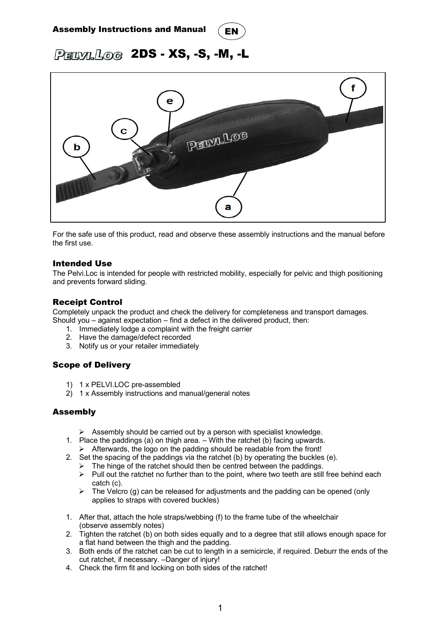# Assembly Instructions and Manual



PELVILLOG 2DS - XS, -S, -M, -L



For the safe use of this product, read and observe these assembly instructions and the manual before the first use.

#### Intended Use

The Pelvi.Loc is intended for people with restricted mobility, especially for pelvic and thigh positioning and prevents forward sliding.

#### Receipt Control

Completely unpack the product and check the delivery for completeness and transport damages. Should you – against expectation – find a defect in the delivered product, then:

- 1. Immediately lodge a complaint with the freight carrier
- 2. Have the damage/defect recorded
- 3. Notify us or your retailer immediately

### Scope of Delivery

- 1) 1 x PELVI.LOC pre-assembled
- 2) 1 x Assembly instructions and manual/general notes

### Assembly

- $\triangleright$  Assembly should be carried out by a person with specialist knowledge.
- 1. Place the paddings (a) on thigh area. With the ratchet (b) facing upwards.  $\triangleright$  Afterwards, the logo on the padding should be readable from the front!
- 2. Set the spacing of the paddings via the ratchet (b) by operating the buckles (e).
	- $\triangleright$  The hinge of the ratchet should then be centred between the paddings.
	- $\triangleright$  Pull out the ratchet no further than to the point, where two teeth are still free behind each catch (c).
	- $\triangleright$  The Velcro (g) can be released for adjustments and the padding can be opened (only applies to straps with covered buckles)
- 1. After that, attach the hole straps/webbing (f) to the frame tube of the wheelchair (observe assembly notes)
- 2. Tighten the ratchet (b) on both sides equally and to a degree that still allows enough space for a flat hand between the thigh and the padding.
- 3. Both ends of the ratchet can be cut to length in a semicircle, if required. Deburr the ends of the cut ratchet, if necessary. –Danger of injury!
- 4. Check the firm fit and locking on both sides of the ratchet!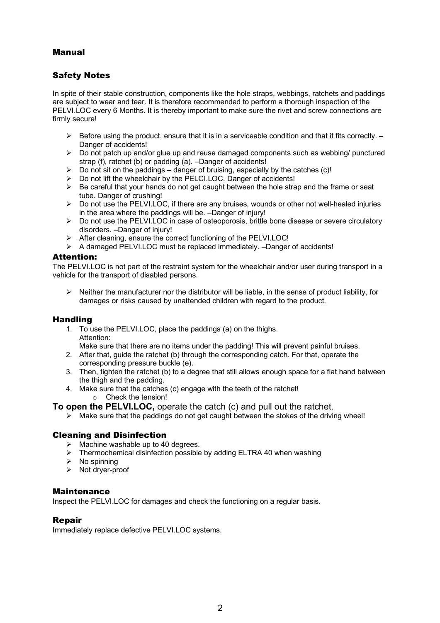## Manual

## Safety Notes

In spite of their stable construction, components like the hole straps, webbings, ratchets and paddings are subject to wear and tear. It is therefore recommended to perform a thorough inspection of the PELVI.LOC every 6 Months. It is thereby important to make sure the rivet and screw connections are firmly secure!

- $\triangleright$  Before using the product, ensure that it is in a serviceable condition and that it fits correctly.  $-$ Danger of accidents!
- $\triangleright$  Do not patch up and/or glue up and reuse damaged components such as webbing/ punctured strap (f), ratchet (b) or padding (a). –Danger of accidents!
- $\triangleright$  Do not sit on the paddings danger of bruising, especially by the catches (c)!
- Ø Do not lift the wheelchair by the PELCI.LOC. Danger of accidents!
- $\triangleright$  Be careful that your hands do not get caught between the hole strap and the frame or seat tube. Danger of crushing!
- $\triangleright$  Do not use the PELVI.LOC, if there are any bruises, wounds or other not well-healed injuries in the area where the paddings will be. –Danger of injury!
- $\triangleright$  Do not use the PELVI.LOC in case of osteoporosis, brittle bone disease or severe circulatory disorders. –Danger of injury!
- Ø After cleaning, ensure the correct functioning of the PELVI.LOC!
- Ø A damaged PELVI.LOC must be replaced immediately. –Danger of accidents!

#### Attention:

The PELVI.LOC is not part of the restraint system for the wheelchair and/or user during transport in a vehicle for the transport of disabled persons.

 $\triangleright$  Neither the manufacturer nor the distributor will be liable, in the sense of product liability, for damages or risks caused by unattended children with regard to the product.

### Handling

- 1. To use the PELVI.LOC, place the paddings (a) on the thighs. Attention:
	- Make sure that there are no items under the padding! This will prevent painful bruises.
- 2. After that, guide the ratchet (b) through the corresponding catch. For that, operate the corresponding pressure buckle (e).
- 3. Then, tighten the ratchet (b) to a degree that still allows enough space for a flat hand between the thigh and the padding.
- 4. Make sure that the catches (c) engage with the teeth of the ratchet! o Check the tension!

**To open the PELVI.LOC,** operate the catch (c) and pull out the ratchet.

 $\triangleright$  Make sure that the paddings do not get caught between the stokes of the driving wheel!

### Cleaning and Disinfection

- $\triangleright$  Machine washable up to 40 degrees.
- $\triangleright$  Thermochemical disinfection possible by adding ELTRA 40 when washing
- $\triangleright$  No spinning
- $\triangleright$  Not dryer-proof

#### Maintenance

Inspect the PELVI.LOC for damages and check the functioning on a regular basis.

#### Repair

Immediately replace defective PELVI.LOC systems.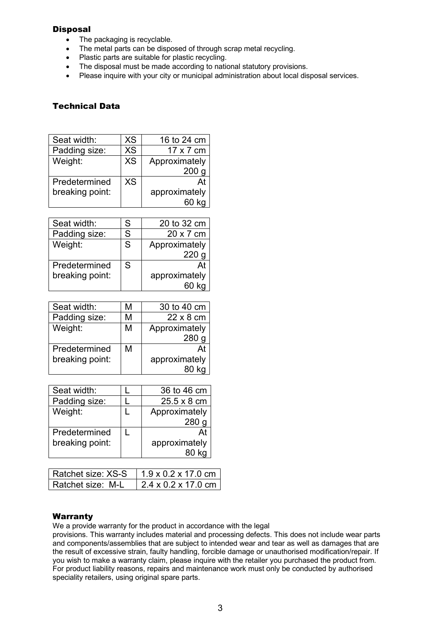## **Disposal**

- The packaging is recyclable.
- The metal parts can be disposed of through scrap metal recycling.
- Plastic parts are suitable for plastic recycling.
- The disposal must be made according to national statutory provisions.
- Please inquire with your city or municipal administration about local disposal services.

# Technical Data

| Seat width:     | <b>XS</b> | 16 to 24 cm      |
|-----------------|-----------|------------------|
| Padding size:   | <b>XS</b> | 17 x 7 cm        |
| Weight:         | <b>XS</b> | Approximately    |
|                 |           | 200 <sub>q</sub> |
| Predetermined   | <b>XS</b> |                  |
| breaking point: |           | approximately    |
|                 |           |                  |

| Seat width:     | S | 20 to 32 cm   |
|-----------------|---|---------------|
| Padding size:   | S | 20 x 7 cm     |
| Weight:         | S | Approximately |
|                 |   | 220           |
| Predetermined   | S |               |
| breaking point: |   | approximately |
|                 |   |               |

| Seat width:     | м | 30 to 40 cm      |
|-----------------|---|------------------|
| Padding size:   | М | $22 \times 8$ cm |
| Weight:         | М | Approximately    |
|                 |   | 280              |
| Predetermined   | М | At               |
| breaking point: |   | approximately    |
|                 |   |                  |

| Seat width:     | 36 to 46 cm        |
|-----------------|--------------------|
| Padding size:   | $25.5 \times 8$ cm |
| Weight:         | Approximately      |
|                 | 280                |
| Predetermined   |                    |
| breaking point: | approximately      |
|                 |                    |

| Ratchet size: XS-S | $1.9 \times 0.2 \times 17.0$ cm |
|--------------------|---------------------------------|
| Ratchet size: M-L  | $2.4 \times 0.2 \times 17.0$ cm |

# Warranty

We a provide warranty for the product in accordance with the legal

provisions. This warranty includes material and processing defects. This does not include wear parts and components/assemblies that are subject to intended wear and tear as well as damages that are the result of excessive strain, faulty handling, forcible damage or unauthorised modification/repair. If you wish to make a warranty claim, please inquire with the retailer you purchased the product from. For product liability reasons, repairs and maintenance work must only be conducted by authorised speciality retailers, using original spare parts.